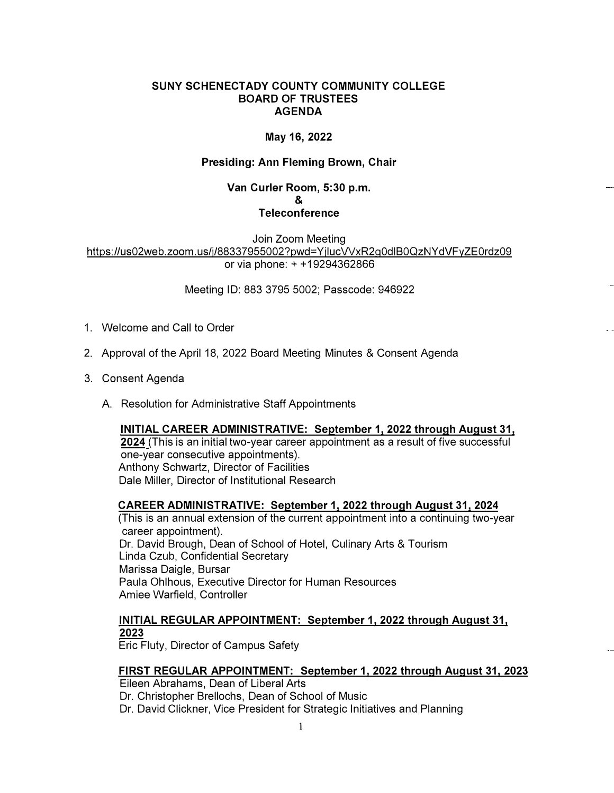## **SUNY SCHENECTADY COUNTY COMMUNITY COLLEGE BOARD OF TRUSTEES AGENDA**

# **May 16, 2022**

### **Presiding: Ann Fleming Brown, Chair**

### **Van Curler Room, 5:30 p.m.**  & **Teleconference**

Join Zoom Meeting https://us02web.zoom.us/j/88337955002?pwd=YjlucVVxR2g0dIB0QzNYdVFyZE0rdz09 or via phone: + +19294362866

Meeting ID: 883 3795 5002; Passcode: 946922

- 1. Welcome and Call to Order
- 2. Approval of the April 18, 2022 Board Meeting Minutes & Consent Agenda
- 3. Consent Agenda
	- A. Resolution for Administrative Staff Appointments

## **INITIAL CAREER ADMINISTRATIVE: September 1, 2022 through August 31,**

**2024** (This is an initial two-year career appointment as a result of five successful one-year consecutive appointments). Anthony Schwartz, Director of Facilities Dale Miller, Director of Institutional Research

#### **CAREER ADMINISTRATIVE: September 1, 2022 through August 31, 2024**

(This is an annual extension of the current appointment into a continuing two-year career appointment). Dr. David Brough, Dean of School of Hotel, Culinary Arts & Tourism Linda Czub, Confidential Secretary Marissa Daigle, Bursar Paula Ohlhous, Executive Director for Human Resources Amiee Warfield, Controller

# **INITIAL REGULAR APPOINTMENT: September 1, 2022 through August 31, 2023**

Eric Fluty, Director of Campus Safety

#### **FIRST REGULAR APPOINTMENT: September 1, 2022 through August 31, 2023**

Eileen Abrahams, Dean of Liberal Arts

Dr. Christopher Brellochs, Dean of School of Music

Dr. David Clickner, Vice President for Strategic Initiatives and Planning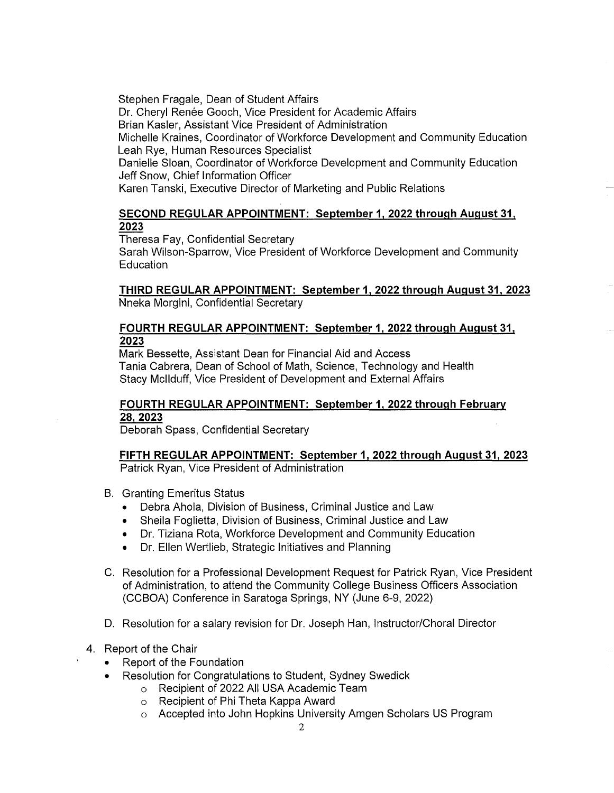Stephen Fragale, Dean of Student Affairs Dr. Cheryl Renée Gooch, Vice President for Academic Affairs Brian Kasler, Assistant Vice President of Administration Michelle Kraines, Coordinator of Workforce Development and Community Education Leah Rye, Human Resources Specialist Danielle Sloan, Coordinator of Workforce Development and Community Education Jeff Snow, Chief Information Officer Karen Tanski, Executive Director of Marketing and Public Relations

# **SECOND REGULAR APPOINTMENT: September 1, 2022 through August 31, 2023**

Theresa Fay, Confidential Secretary

Sarah Wilson-Sparrow, Vice President of Workforce Development and Community Education

**THIRD REGULAR APPOINTMENT: September 1, 2022 through August 31, 2023**  Nneka Morgini, Confidential Secretary

# **FOURTH REGULAR APPOINTMENT: September 1, 2022 through August 31, 2023**

Mark Bessette, Assistant Dean for Financial Aid and Access Tania Cabrera, Dean of School of Math, Science, Technology and Health Stacy Mcllduff, Vice President of Development and External Affairs

# **FOURTH REGULAR APPOINTMENT: September 1, 2022 through February 28,2023**

Deborah Spass, Confidential Secretary

**FIFTH REGULAR APPOINTMENT: September 1, 2022 through August 31, 2023**  Patrick Ryan, Vice President of Administration

- B. Granting Emeritus Status
	- Debra Ahola, Division of Business, Criminal Justice and Law
	- Sheila Foglietta, Division of Business, Criminal Justice and Law
	- Dr. Tiziana Rota, Workforce Development and Community Education
	- Dr. Ellen Wertlieb, Strategic Initiatives and Planning
- C. Resolution for a Professional Development Request for Patrick Ryan, Vice President of Administration, to attend the Community College Business Officers Association (CCBOA) Conference in Saratoga Springs, NY (June 6-9, 2022)
- D. Resolution for a salary revision for Dr. Joseph Han, Instructor/Choral Director
- 4. Report of the Chair
	- Report of the Foundation
	- Resolution for Congratulations to Student, Sydney Swedick
		- o Recipient of 2022 All USA Academic Team
			- o Recipient of Phi Theta Kappa Award
			- o Accepted into John Hopkins University Amgen Scholars US Program